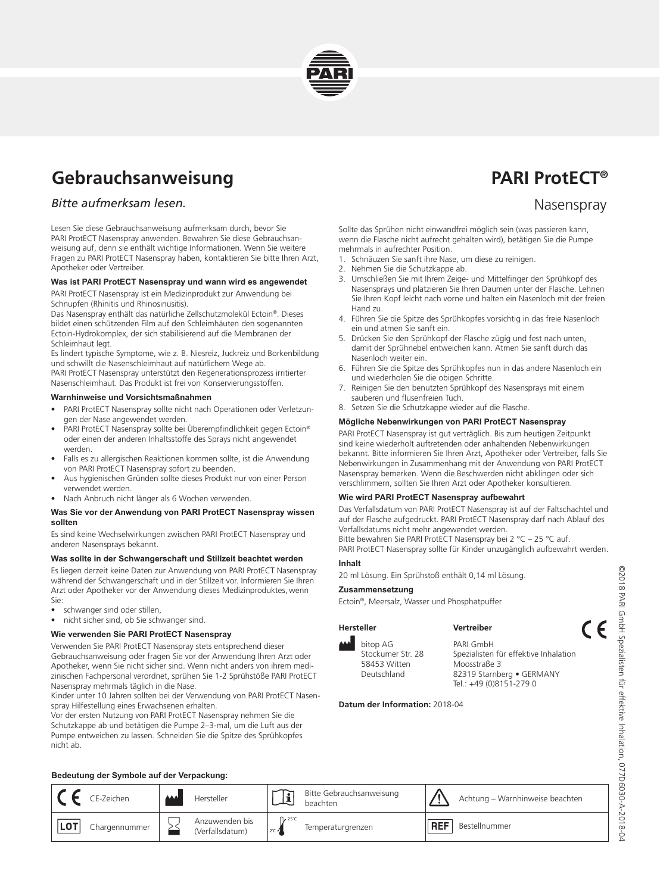

# **Gebrauchsanweisung Basic Equation CONTENT PARI ProtECT**<sup>®</sup>

# *Bitte aufmerksam lesen.* Nasenspray and the set of the set of the set of the set of the set of the set of the set of the set of the set of the set of the set of the set of the set of the set of the set of the set of the

Lesen Sie diese Gebrauchsanweisung aufmerksam durch, bevor Sie PARI ProtECT Nasenspray anwenden. Bewahren Sie diese Gebrauchsanweisung auf, denn sie enthält wichtige Informationen. Wenn Sie weitere Fragen zu PARI ProtECT Nasenspray haben, kontaktieren Sie bitte Ihren Arzt, Apotheker oder Vertreiber.

#### **Was ist PARI ProtECT Nasenspray und wann wird es angewendet**

PARI ProtECT Nasenspray ist ein Medizinprodukt zur Anwendung bei Schnupfen (Rhinitis und Rhinosinusitis).

Das Nasenspray enthält das natürliche Zellschutzmolekül Ectoin®. Dieses bildet einen schützenden Film auf den Schleimhäuten den sogenannten Ectoin-Hydrokomplex, der sich stabilisierend auf die Membranen der Schleimhaut legt.

Es lindert typische Symptome, wie z. B. Niesreiz, Juckreiz und Borkenbildung und schwillt die Nasenschleimhaut auf natürlichem Wege ab. PARI ProtECT Nasenspray unterstützt den Regenerationsprozess irritierter

Nasenschleimhaut. Das Produkt ist frei von Konservierungsstoffen.

#### **Warnhinweise und Vorsichtsmaßnahmen**

- PARI ProtECT Nasenspray sollte nicht nach Operationen oder Verletzungen der Nase angewendet werden.
- PARI ProtECT Nasenspray sollte bei Überempfindlichkeit gegen Ectoin® oder einen der anderen Inhaltsstoffe des Sprays nicht angewendet werden.
- Falls es zu allergischen Reaktionen kommen sollte, ist die Anwendung von PARI ProtECT Nasenspray sofort zu beenden.
- Aus hygienischen Gründen sollte dieses Produkt nur von einer Person verwendet werden.
- Nach Anbruch nicht länger als 6 Wochen verwenden.

#### **Was Sie vor der Anwendung von PARI ProtECT Nasenspray wissen sollten**

Es sind keine Wechselwirkungen zwischen PARI ProtECT Nasenspray und anderen Nasensprays bekannt.

### **Was sollte in der Schwangerschaft und Stillzeit beachtet werden**

Es liegen derzeit keine Daten zur Anwendung von PARI ProtECT Nasenspray während der Schwangerschaft und in der Stillzeit vor. Informieren Sie Ihren Arzt oder Apotheker vor der Anwendung dieses Medizinproduktes, wenn Sie:

- schwanger sind oder stillen,
- nicht sicher sind, ob Sie schwanger sind.

#### **Wie verwenden Sie PARI ProtECT Nasenspray**

Verwenden Sie PARI ProtECT Nasenspray stets entsprechend dieser Gebrauchsanweisung oder fragen Sie vor der Anwendung Ihren Arzt oder Apotheker, wenn Sie nicht sicher sind. Wenn nicht anders von ihrem medizinischen Fachpersonal verordnet, sprühen Sie 1-2 Sprühstöße PARI ProtECT Nasenspray mehrmals täglich in die Nase.

Kinder unter 10 Jahren sollten bei der Verwendung von PARI ProtECT Nasenspray Hilfestellung eines Erwachsenen erhalten.

Vor der ersten Nutzung von PARI ProtECT Nasenspray nehmen Sie die Schutzkappe ab und betätigen die Pumpe 2–3-mal, um die Luft aus der Pumpe entweichen zu lassen. Schneiden Sie die Spitze des Sprühkopfes nicht ab.

Sollte das Sprühen nicht einwandfrei möglich sein (was passieren kann, wenn die Flasche nicht aufrecht gehalten wird), betätigen Sie die Pumpe mehrmals in aufrechter Position.

- 1. Schnäuzen Sie sanft ihre Nase, um diese zu reinigen.
- 2. Nehmen Sie die Schutzkappe ab.
- 3. Umschließen Sie mit Ihrem Zeige- und Mittelfinger den Sprühkopf des Nasensprays und platzieren Sie Ihren Daumen unter der Flasche. Lehnen Sie Ihren Kopf leicht nach vorne und halten ein Nasenloch mit der freien Hand zu.
- 4. Führen Sie die Spitze des Sprühkopfes vorsichtig in das freie Nasenloch ein und atmen Sie sanft ein.
- 5. Drücken Sie den Sprühkopf der Flasche zügig und fest nach unten, damit der Sprühnebel entweichen kann. Atmen Sie sanft durch das Nasenloch weiter ein.
- 6. Führen Sie die Spitze des Sprühkopfes nun in das andere Nasenloch ein und wiederholen Sie die obigen Schritte.
- 7. Reinigen Sie den benutzten Sprühkopf des Nasensprays mit einem sauberen und flusenfreien Tuch.
- 8. Setzen Sie die Schutzkappe wieder auf die Flasche.

### **Mögliche Nebenwirkungen von PARI ProtECT Nasenspray**

PARI ProtECT Nasenspray ist gut verträglich. Bis zum heutigen Zeitpunkt sind keine wiederholt auftretenden oder anhaltenden Nebenwirkungen bekannt. Bitte informieren Sie Ihren Arzt, Apotheker oder Vertreiber, falls Sie Nebenwirkungen in Zusammenhang mit der Anwendung von PARI ProtECT Nasenspray bemerken. Wenn die Beschwerden nicht abklingen oder sich verschlimmern, sollten Sie Ihren Arzt oder Apotheker konsultieren.

#### **Wie wird PARI ProtECT Nasenspray aufbewahrt**

Das Verfallsdatum von PARI ProtECT Nasenspray ist auf der Faltschachtel und auf der Flasche aufgedruckt. PARI ProtECT Nasenspray darf nach Ablauf des Verfallsdatums nicht mehr angewendet werden.

Bitte bewahren Sie PARI ProtECT Nasenspray bei 2 °C – 25 °C auf. PARI ProtECT Nasenspray sollte für Kinder unzugänglich aufbewahrt werden.

# **Inhalt**

20 ml Lösung. Ein Sprühstoß enthält 0,14 ml Lösung.

#### **Zusammensetzung**

Ectoin®, Meersalz, Wasser und Phosphatpuffer

#### **Hersteller Vertreiber**

bitop AG Stockumer Str. 28 58453 Witten Deutschland

PARI GmbH Spezialisten für effektive Inhalation Moosstraße 3 82319 Starnberg • GERMANY Tel.: +49 (0)8151-279 0

**Datum der Information:** 2018-04

#### **Bedeutung der Symbole auf der Verpackung:**

|        | CE-Zeichen    | الممم | Hersteller                        | $\mathbf{H}$                          | Bitte Gebrauchsanweisung<br>beachten |     | Achtung - Warnhinweise beachten |
|--------|---------------|-------|-----------------------------------|---------------------------------------|--------------------------------------|-----|---------------------------------|
| ∴ ∣LO⊤ | Chargennummer |       | Anzuwenden bis<br>(Verfallsdatum) | T <sub>2</sub> 25 °C<br>$2C \sqrt{2}$ | Temperaturgrenzen                    | REF | Bestellnummer                   |